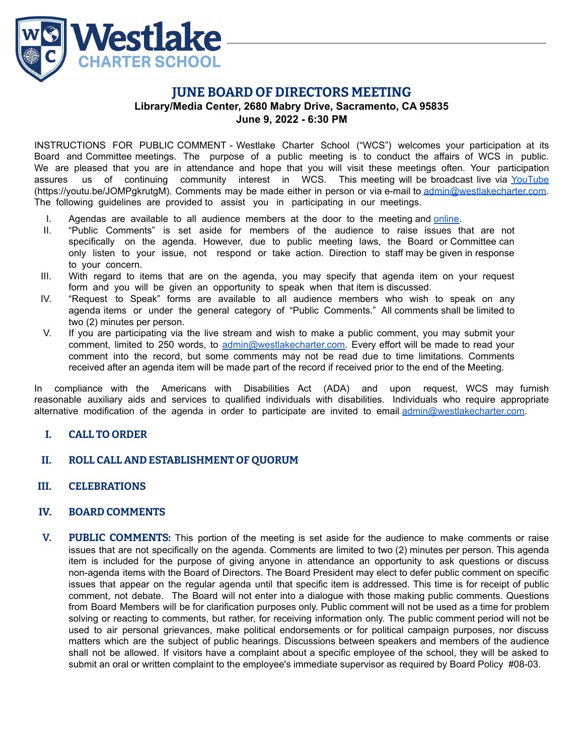

# **JUNE BOARD OF DIRECTORS MEETING Library/Media Center, 2680 Mabry Drive, Sacramento, CA 95835 June 9, 2022 - 6:30 PM**

INSTRUCTIONS FOR PUBLIC COMMENT - Westlake Charter School ("WCS") welcomes your participation at its Board and Committee meetings. The purpose of a public meeting is to conduct the affairs of WCS in public. We are pleased that you are in attendance and hope that you will visit these meetings often. Your participation assures us of continuing community interest in WCS. This meeting will be broadcast live via [YouTube](https://youtu.be/JOMPgkrutgM) (https://youtu.be/JOMPgkrutgM). Comments may be made either in person or via e-mail to [admin@westlakecharter.com.](mailto:admin@westlakecharter.com) The following guidelines are provided to assist you in participating in our meetings.

- I. Agendas are available to all audience members at the door to the meeting and [online.](https://westlakecharter.com/about/wcs-board-documents/)
- II. "Public Comments" is set aside for members of the audience to raise issues that are not specifically on the agenda. However, due to public meeting laws, the Board or Committee can only listen to your issue, not respond or take action. Direction to staff may be given in response to your concern.
- III. With regard to items that are on the agenda, you may specify that agenda item on your request form and you will be given an opportunity to speak when that item is discussed.
- IV. "Request to Speak" forms are available to all audience members who wish to speak on any agenda items or under the general category of "Public Comments." All comments shall be limited to two (2) minutes per person.
- V. If you are participating via the live stream and wish to make a public comment, you may submit your comment, limited to 250 words, to [admin@westlakecharter.com.](mailto:admin@westlakecharter.com) Every effort will be made to read your comment into the record, but some comments may not be read due to time limitations. Comments received after an agenda item will be made part of the record if received prior to the end of the Meeting.

In compliance with the Americans with Disabilities Act (ADA) and upon request, WCS may furnish reasonable auxiliary aids and services to qualified individuals with disabilities. Individuals who require appropriate alternative modification of the agenda in order to participate are invited to email [admin@westlakecharter.com](mailto:admin@westlakecharter.com).

# **I. CALL TO ORDER**

- **II. ROLL CALL AND ESTABLISHMENT OF QUORUM**
- **III. CELEBRATIONS**

#### **IV. BOARD COMMENTS**

**V. PUBLIC COMMENTS:** This portion of the meeting is set aside for the audience to make comments or raise issues that are not specifically on the agenda. Comments are limited to two (2) minutes per person. This agenda item is included for the purpose of giving anyone in attendance an opportunity to ask questions or discuss non-agenda items with the Board of Directors. The Board President may elect to defer public comment on specific issues that appear on the regular agenda until that specific item is addressed. This time is for receipt of public comment, not debate. The Board will not enter into a dialogue with those making public comments. Questions from Board Members will be for clarification purposes only. Public comment will not be used as a time for problem solving or reacting to comments, but rather, for receiving information only. The public comment period will not be used to air personal grievances, make political endorsements or for political campaign purposes, nor discuss matters which are the subject of public hearings. Discussions between speakers and members of the audience shall not be allowed. If visitors have a complaint about a specific employee of the school, they will be asked to submit an oral or written complaint to the employee's immediate supervisor as required by Board Policy #08-03.